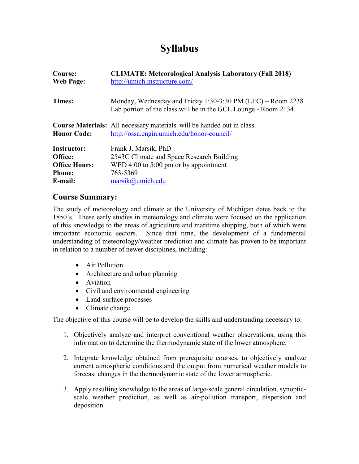# **Syllabus**

| Course:              | <b>CLIMATE: Meteorological Analysis Laboratory (Fall 2018)</b>                                                                |  |  |  |  |
|----------------------|-------------------------------------------------------------------------------------------------------------------------------|--|--|--|--|
| <b>Web Page:</b>     | http://umich.instructure.com/                                                                                                 |  |  |  |  |
| Times:               | Monday, Wednesday and Friday 1:30-3:30 PM (LEC) – Room 2238<br>Lab portion of the class will be in the GCL Lounge - Room 2134 |  |  |  |  |
| <b>Honor Code:</b>   | <b>Course Materials:</b> All necessary materials will be handed out in class.<br>http://ossa.engin.umich.edu/honor-council/   |  |  |  |  |
| <b>Instructor:</b>   | Frank J. Marsik, PhD                                                                                                          |  |  |  |  |
| Office:              | 2543C Climate and Space Research Building                                                                                     |  |  |  |  |
| <b>Office Hours:</b> | WED 4:00 to $5:00$ pm or by appointment                                                                                       |  |  |  |  |
| <b>Phone:</b>        | 763-5369                                                                                                                      |  |  |  |  |
| E-mail:              | $marsik@$ umich.edu                                                                                                           |  |  |  |  |

#### **Course Summary:**

The study of meteorology and climate at the University of Michigan dates back to the 1850's. These early studies in meteorology and climate were focused on the application of this knowledge to the areas of agriculture and maritime shipping, both of which were important economic sectors. Since that time, the development of a fundamental understanding of meteorology/weather prediction and climate has proven to be important in relation to a number of newer disciplines, including:

- Air Pollution
- Architecture and urban planning
- Aviation
- Civil and environmental engineering
- Land-surface processes
- Climate change

The objective of this course will be to develop the skills and understanding necessary to:

- 1. Objectively analyze and interpret conventional weather observations, using this information to determine the thermodynamic state of the lower atmosphere.
- 2. Integrate knowledge obtained from prerequisite courses, to objectively analyze current atmospheric conditions and the output from numerical weather models to forecast changes in the thermodynamic state of the lower atmospheric.
- 3. Apply resulting knowledge to the areas of large-scale general circulation, synopticscale weather prediction, as well as air-pollution transport, dispersion and deposition.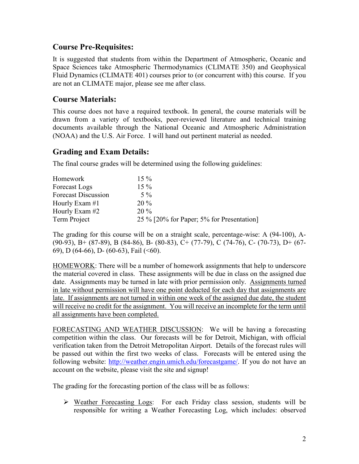### **Course Pre-Requisites:**

It is suggested that students from within the Department of Atmospheric, Oceanic and Space Sciences take Atmospheric Thermodynamics (CLIMATE 350) and Geophysical Fluid Dynamics (CLIMATE 401) courses prior to (or concurrent with) this course. If you are not an CLIMATE major, please see me after class.

## **Course Materials:**

This course does not have a required textbook. In general, the course materials will be drawn from a variety of textbooks, peer-reviewed literature and technical training documents available through the National Oceanic and Atmospheric Administration (NOAA) and the U.S. Air Force. I will hand out pertinent material as needed.

## **Grading and Exam Details:**

The final course grades will be determined using the following guidelines:

| Homework                   | $15\%$                                    |
|----------------------------|-------------------------------------------|
| Forecast Logs              | $15\%$                                    |
| <b>Forecast Discussion</b> | $5\%$                                     |
| Hourly Exam $#1$           | $20\%$                                    |
| Hourly Exam #2             | $20\%$                                    |
| Term Project               | 25 % [20% for Paper; 5% for Presentation] |

The grading for this course will be on a straight scale, percentage-wise: A (94-100), A- (90-93), B+ (87-89), B (84-86), B- (80-83), C+ (77-79), C (74-76), C- (70-73), D+ (67- 69), D (64-66), D- (60-63), Fail (<60).

HOMEWORK: There will be a number of homework assignments that help to underscore the material covered in class. These assignments will be due in class on the assigned due date. Assignments may be turned in late with prior permission only. Assignments turned in late without permission will have one point deducted for each day that assignments are late. If assignments are not turned in within one week of the assigned due date, the student will receive no credit for the assignment. You will receive an incomplete for the term until all assignments have been completed.

FORECASTING AND WEATHER DISCUSSION: We will be having a forecasting competition within the class. Our forecasts will be for Detroit, Michigan, with official verification taken from the Detroit Metropolitan Airport. Details of the forecast rules will be passed out within the first two weeks of class. Forecasts will be entered using the following website: [http://weather.engin.umich.edu/forecastgame/.](http://weather.engin.umich.edu/forecastgame/) If you do not have an account on the website, please visit the site and signup!

The grading for the forecasting portion of the class will be as follows:

 Weather Forecasting Logs: For each Friday class session, students will be responsible for writing a Weather Forecasting Log, which includes: observed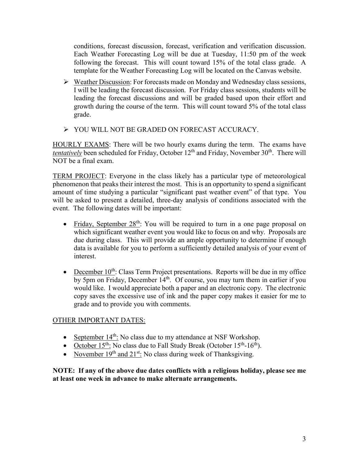conditions, forecast discussion, forecast, verification and verification discussion. Each Weather Forecasting Log will be due at Tuesday, 11:50 pm of the week following the forecast. This will count toward 15% of the total class grade. A template for the Weather Forecasting Log will be located on the Canvas website.

- $\triangleright$  Weather Discussion: For forecasts made on Monday and Wednesday class sessions, I will be leading the forecast discussion. For Friday class sessions, students will be leading the forecast discussions and will be graded based upon their effort and growth during the course of the term. This will count toward 5% of the total class grade.
- YOU WILL NOT BE GRADED ON FORECAST ACCURACY.

HOURLY EXAMS: There will be two hourly exams during the term. The exams have tentatively been scheduled for Friday, October 12<sup>th</sup> and Friday, November 30<sup>th</sup>. There will NOT be a final exam.

TERM PROJECT: Everyone in the class likely has a particular type of meteorological phenomenon that peaks their interest the most. This is an opportunity to spend a significant amount of time studying a particular "significant past weather event" of that type. You will be asked to present a detailed, three-day analysis of conditions associated with the event. The following dates will be important:

- Friday, September  $28<sup>th</sup>$ : You will be required to turn in a one page proposal on which significant weather event you would like to focus on and why. Proposals are due during class. This will provide an ample opportunity to determine if enough data is available for you to perform a sufficiently detailed analysis of your event of interest.
- December  $10^{th}$ : Class Term Project presentations. Reports will be due in my office by 5pm on Friday, December 14<sup>th</sup>. Of course, you may turn them in earlier if you would like. I would appreciate both a paper and an electronic copy. The electronic copy saves the excessive use of ink and the paper copy makes it easier for me to grade and to provide you with comments.

#### OTHER IMPORTANT DATES:

- September  $14^{th}$ : No class due to my attendance at NSF Workshop.
- October  $15^{th}$ : No class due to Fall Study Break (October  $15^{th}$ - $16^{th}$ ).
- November  $19<sup>th</sup>$  and  $21<sup>st</sup>$ : No class during week of Thanksgiving.

**NOTE: If any of the above due dates conflicts with a religious holiday, please see me at least one week in advance to make alternate arrangements.**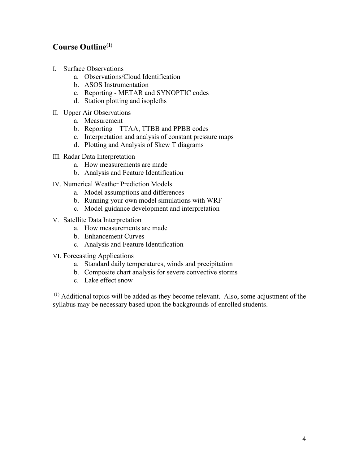# **Course Outline(1)**

- I. Surface Observations
	- a. Observations/Cloud Identification
	- b. ASOS Instrumentation
	- c. Reporting METAR and SYNOPTIC codes
	- d. Station plotting and isopleths
- II. Upper Air Observations
	- a. Measurement
	- b. Reporting TTAA, TTBB and PPBB codes
	- c. Interpretation and analysis of constant pressure maps
	- d. Plotting and Analysis of Skew T diagrams
- III. Radar Data Interpretation
	- a. How measurements are made
	- b. Analysis and Feature Identification
- IV. Numerical Weather Prediction Models
	- a. Model assumptions and differences
	- b. Running your own model simulations with WRF
	- c. Model guidance development and interpretation
- V. Satellite Data Interpretation
	- a. How measurements are made
	- b. Enhancement Curves
	- c. Analysis and Feature Identification
- VI. Forecasting Applications
	- a. Standard daily temperatures, winds and precipitation
	- b. Composite chart analysis for severe convective storms
	- c. Lake effect snow

 $<sup>(1)</sup>$  Additional topics will be added as they become relevant. Also, some adjustment of the</sup> syllabus may be necessary based upon the backgrounds of enrolled students.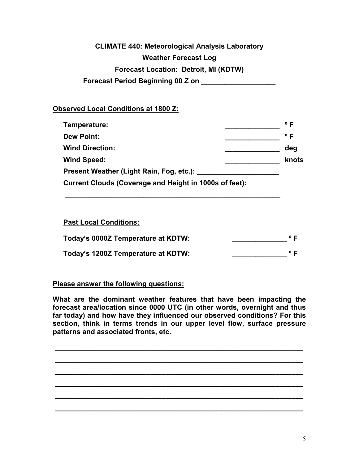# **CLIMATE 440: Meteorological Analysis Laboratory Weather Forecast Log Forecast Location: Detroit, MI (KDTW) Forecast Period Beginning 00 Z on \_\_\_\_\_\_\_\_\_\_\_\_\_\_\_\_\_\_\_**

#### **Observed Local Conditions at 1800 Z:**

| Temperature:                                           | $^{\circ}$ F |
|--------------------------------------------------------|--------------|
| <b>Dew Point:</b>                                      | $^{\circ}$ F |
| <b>Wind Direction:</b>                                 | deg          |
| <b>Wind Speed:</b>                                     | knots        |
| Present Weather (Light Rain, Fog, etc.):               |              |
| Current Clouds (Coverage and Height in 1000s of feet): |              |

#### **Past Local Conditions:**

| Today's 0000Z Temperature at KDTW: | $^{\circ}$ F |
|------------------------------------|--------------|
| Today's 1200Z Temperature at KDTW: | $^{\circ}$ F |

**\_\_\_\_\_\_\_\_\_\_\_\_\_\_\_\_\_\_\_\_\_\_\_\_\_\_\_\_\_\_\_\_\_\_\_\_\_\_\_\_\_\_\_\_\_\_\_\_\_\_\_\_\_\_\_**

#### **Please answer the following questions:**

**What are the dominant weather features that have been impacting the forecast area/location since 0000 UTC (in other words, overnight and thus far today) and how have they influenced our observed conditions? For this section, think in terms trends in our upper level flow, surface pressure patterns and associated fronts, etc.**

**\_\_\_\_\_\_\_\_\_\_\_\_\_\_\_\_\_\_\_\_\_\_\_\_\_\_\_\_\_\_\_\_\_\_\_\_\_\_\_\_\_\_\_\_\_\_\_\_\_\_\_\_\_\_\_\_\_\_\_\_\_\_\_** 

**\_\_\_\_\_\_\_\_\_\_\_\_\_\_\_\_\_\_\_\_\_\_\_\_\_\_\_\_\_\_\_\_\_\_\_\_\_\_\_\_\_\_\_\_\_\_\_\_\_\_\_\_\_\_\_\_\_\_\_\_\_\_\_** 

**\_\_\_\_\_\_\_\_\_\_\_\_\_\_\_\_\_\_\_\_\_\_\_\_\_\_\_\_\_\_\_\_\_\_\_\_\_\_\_\_\_\_\_\_\_\_\_\_\_\_\_\_\_\_\_\_\_\_\_\_\_\_\_** 

**\_\_\_\_\_\_\_\_\_\_\_\_\_\_\_\_\_\_\_\_\_\_\_\_\_\_\_\_\_\_\_\_\_\_\_\_\_\_\_\_\_\_\_\_\_\_\_\_\_\_\_\_\_\_\_\_\_\_\_\_\_\_\_** 

**\_\_\_\_\_\_\_\_\_\_\_\_\_\_\_\_\_\_\_\_\_\_\_\_\_\_\_\_\_\_\_\_\_\_\_\_\_\_\_\_\_\_\_\_\_\_\_\_\_\_\_\_\_\_\_\_\_\_\_\_\_\_\_** 

**\_\_\_\_\_\_\_\_\_\_\_\_\_\_\_\_\_\_\_\_\_\_\_\_\_\_\_\_\_\_\_\_\_\_\_\_\_\_\_\_\_\_\_\_\_\_\_\_\_\_\_\_\_\_\_\_\_\_\_\_\_\_\_**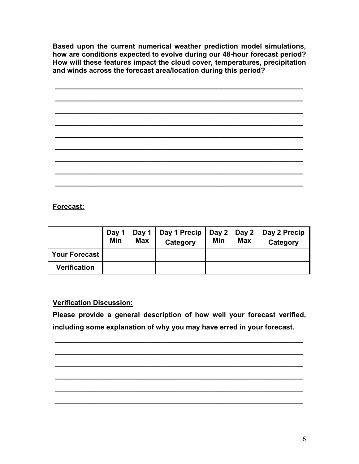**Based upon the current numerical weather prediction model simulations, how are conditions expected to evolve during our 48-hour forecast period? How will these features impact the cloud cover, temperatures, precipitation and winds across the forecast area/location during this period?** 

**\_\_\_\_\_\_\_\_\_\_\_\_\_\_\_\_\_\_\_\_\_\_\_\_\_\_\_\_\_\_\_\_\_\_\_\_\_\_\_\_\_\_\_\_\_\_\_\_\_\_\_\_\_\_\_\_\_\_\_\_\_\_\_** 

# **\_\_\_\_\_\_\_\_\_\_\_\_\_\_\_\_\_\_\_\_\_\_\_\_\_\_\_\_\_\_\_\_\_\_\_\_\_\_\_\_\_\_\_\_\_\_\_\_\_\_\_\_\_\_\_\_\_\_\_\_\_\_\_ \_\_\_\_\_\_\_\_\_\_\_\_\_\_\_\_\_\_\_\_\_\_\_\_\_\_\_\_\_\_\_\_\_\_\_\_\_\_\_\_\_\_\_\_\_\_\_\_\_\_\_\_\_\_\_\_\_\_\_\_\_\_\_ \_\_\_\_\_\_\_\_\_\_\_\_\_\_\_\_\_\_\_\_\_\_\_\_\_\_\_\_\_\_\_\_\_\_\_\_\_\_\_\_\_\_\_\_\_\_\_\_\_\_\_\_\_\_\_\_\_\_\_\_\_\_\_ \_\_\_\_\_\_\_\_\_\_\_\_\_\_\_\_\_\_\_\_\_\_\_\_\_\_\_\_\_\_\_\_\_\_\_\_\_\_\_\_\_\_\_\_\_\_\_\_\_\_\_\_\_\_\_\_\_\_\_\_\_\_\_ \_\_\_\_\_\_\_\_\_\_\_\_\_\_\_\_\_\_\_\_\_\_\_\_\_\_\_\_\_\_\_\_\_\_\_\_\_\_\_\_\_\_\_\_\_\_\_\_\_\_\_\_\_\_\_\_\_\_\_\_\_\_\_ \_\_\_\_\_\_\_\_\_\_\_\_\_\_\_\_\_\_\_\_\_\_\_\_\_\_\_\_\_\_\_\_\_\_\_\_\_\_\_\_\_\_\_\_\_\_\_\_\_\_\_\_\_\_\_\_\_\_\_\_\_\_\_ \_\_\_\_\_\_\_\_\_\_\_\_\_\_\_\_\_\_\_\_\_\_\_\_\_\_\_\_\_\_\_\_\_\_\_\_\_\_\_\_\_\_\_\_\_\_\_\_\_\_\_\_\_\_\_\_\_\_\_\_\_\_\_ \_\_\_\_\_\_\_\_\_\_\_\_\_\_\_\_\_\_\_\_\_\_\_\_\_\_\_\_\_\_\_\_\_\_\_\_\_\_\_\_\_\_\_\_\_\_\_\_\_\_\_\_\_\_\_\_\_\_\_\_\_\_\_**

## **Forecast:**

|                     | Day 1<br>Min | Day 1 $\parallel$<br><b>Max</b> | Day 1 Precip<br>Category | $\vert$ Day 2 $\vert$ Day 2 $\vert$<br>Min | <b>Max</b> | Day 2 Precip<br>Category |
|---------------------|--------------|---------------------------------|--------------------------|--------------------------------------------|------------|--------------------------|
| Your Forecast       |              |                                 |                          |                                            |            |                          |
| <b>Verification</b> |              |                                 |                          |                                            |            |                          |

#### **Verification Discussion:**

**Please provide a general description of how well your forecast verified, including some explanation of why you may have erred in your forecast.**

**\_\_\_\_\_\_\_\_\_\_\_\_\_\_\_\_\_\_\_\_\_\_\_\_\_\_\_\_\_\_\_\_\_\_\_\_\_\_\_\_\_\_\_\_\_\_\_\_\_\_\_\_\_\_\_\_\_\_\_\_\_\_\_** 

**\_\_\_\_\_\_\_\_\_\_\_\_\_\_\_\_\_\_\_\_\_\_\_\_\_\_\_\_\_\_\_\_\_\_\_\_\_\_\_\_\_\_\_\_\_\_\_\_\_\_\_\_\_\_\_\_\_\_\_\_\_\_\_** 

**\_\_\_\_\_\_\_\_\_\_\_\_\_\_\_\_\_\_\_\_\_\_\_\_\_\_\_\_\_\_\_\_\_\_\_\_\_\_\_\_\_\_\_\_\_\_\_\_\_\_\_\_\_\_\_\_\_\_\_\_\_\_\_** 

**\_\_\_\_\_\_\_\_\_\_\_\_\_\_\_\_\_\_\_\_\_\_\_\_\_\_\_\_\_\_\_\_\_\_\_\_\_\_\_\_\_\_\_\_\_\_\_\_\_\_\_\_\_\_\_\_\_\_\_\_\_\_\_** 

**\_\_\_\_\_\_\_\_\_\_\_\_\_\_\_\_\_\_\_\_\_\_\_\_\_\_\_\_\_\_\_\_\_\_\_\_\_\_\_\_\_\_\_\_\_\_\_\_\_\_\_\_\_\_\_\_\_\_\_\_\_\_\_** 

**\_\_\_\_\_\_\_\_\_\_\_\_\_\_\_\_\_\_\_\_\_\_\_\_\_\_\_\_\_\_\_\_\_\_\_\_\_\_\_\_\_\_\_\_\_\_\_\_\_\_\_\_\_\_\_\_\_\_\_\_\_\_\_**